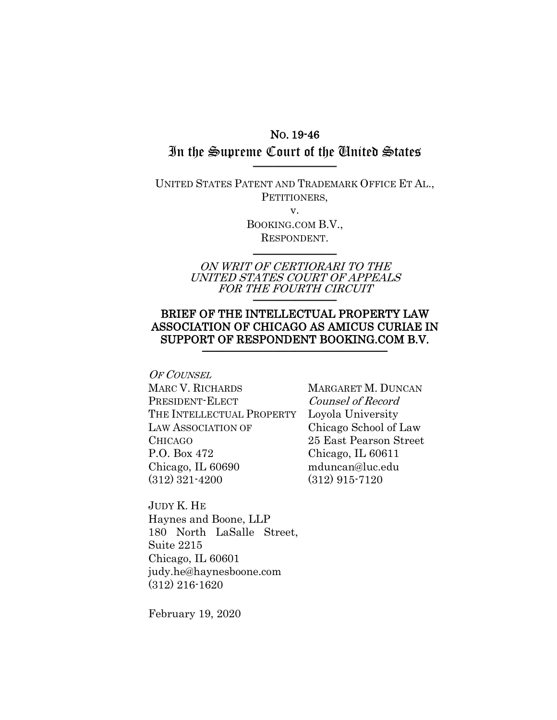## NO. 19-46

## In the Supreme Court of the United States \_\_\_\_\_\_\_\_\_\_\_\_\_\_\_\_

UNITED STATES PATENT AND TRADEMARK OFFICE ET AL., PETITIONERS,

v.

BOOKING.COM B.V., RESPONDENT.  $\frac{1}{2}$ 

ON WRIT OF CERTIORARI TO THE UNITED STATES COURT OF APPEALS FOR THE FOURTH CIRCUIT

## BRIEF OF THE INTELLECTUAL PROPERTY LAW ASSOCIATION OF CHICAGO AS AMICUS CURIAE IN SUPPORT OF RESPONDENT BOOKING.COM B.V.

OF COUNSEL MARC V. RICHARDS PRESIDENT-ELECT THE INTELLECTUAL PROPERTY Loyola University LAW ASSOCIATION OF CHICAGO P.O. Box 472 Chicago, IL 60690 (312) 321-4200

MARGARET M. DUNCAN Counsel of Record Chicago School of Law 25 East Pearson Street Chicago, IL 60611 mduncan@luc.edu (312) 915-7120

JUDY K. HE Haynes and Boone, LLP 180 North LaSalle Street, Suite 2215 Chicago, IL 60601 judy.he@haynesboone.com (312) 216-1620

February 19, 2020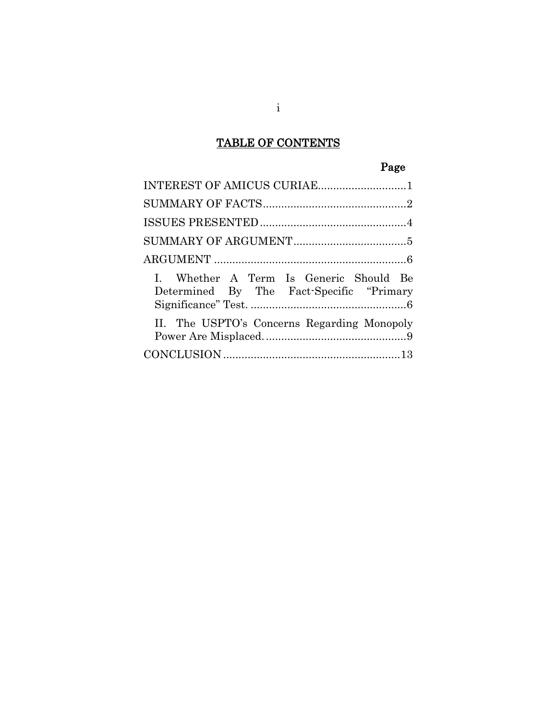# TABLE OF CONTENTS

# Page

| INTEREST OF AMICUS CURIAE1                                                          |
|-------------------------------------------------------------------------------------|
|                                                                                     |
|                                                                                     |
|                                                                                     |
|                                                                                     |
| I. Whether A Term Is Generic Should Be<br>Determined By The Fact-Specific "Primary" |
| II. The USPTO's Concerns Regarding Monopoly                                         |
|                                                                                     |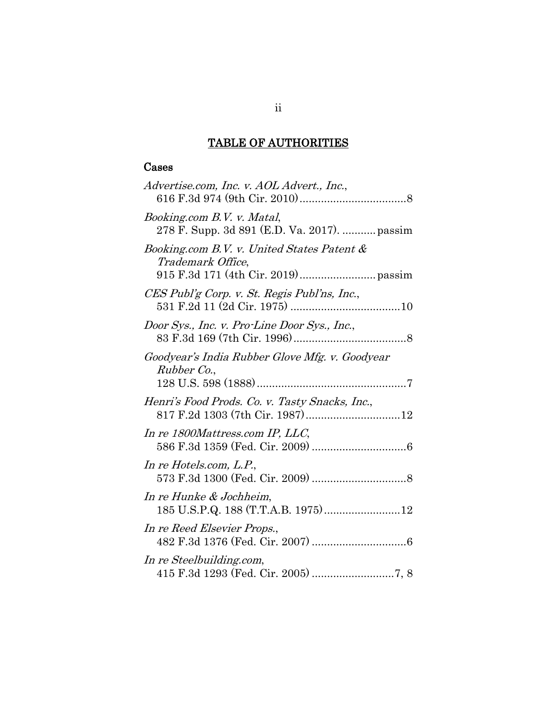## TABLE OF AUTHORITIES

## Cases

| Advertise.com, Inc. v. AOL Advert., Inc.,                                  |
|----------------------------------------------------------------------------|
| Booking.com B.V. v. Matal,<br>278 F. Supp. 3d 891 (E.D. Va. 2017).  passim |
| Booking.com B.V. v. United States Patent &<br>Trademark Office,            |
| CES Publ'g Corp. v. St. Regis Publ'ns, Inc.,                               |
| Door Sys., Inc. v. Pro-Line Door Sys., Inc.,                               |
| Goodyear's India Rubber Glove Mfg. v. Goodyear<br>Rubber Co.,              |
| Henri's Food Prods. Co. v. Tasty Snacks, Inc.,                             |
| In re 1800Mattress.com IP, LLC,                                            |
| In re Hotels.com, L.P.,                                                    |
| In re Hunke & Jochheim,                                                    |
| In re Reed Elsevier Props.,                                                |
| In re Steelbuilding.com,                                                   |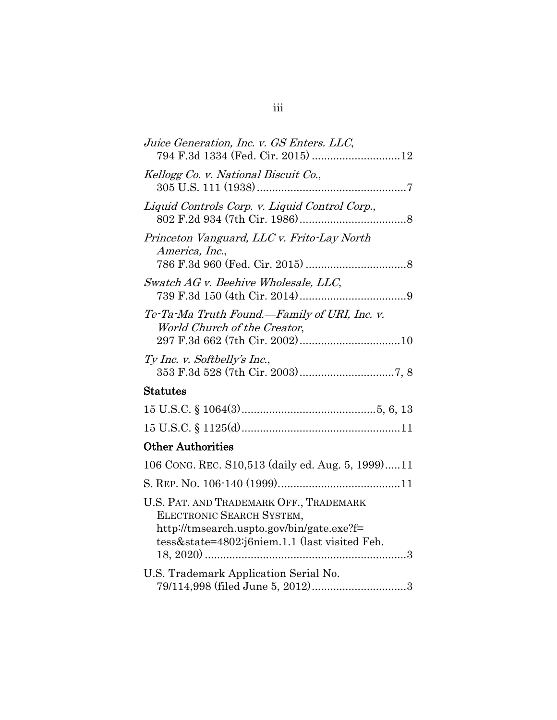| Juice Generation, Inc. v. GS Enters. LLC,<br>794 F.3d 1334 (Fed. Cir. 2015) 12                                                                                     |
|--------------------------------------------------------------------------------------------------------------------------------------------------------------------|
| Kellogg Co. v. National Biscuit Co.,                                                                                                                               |
| Liquid Controls Corp. v. Liquid Control Corp.,                                                                                                                     |
| Princeton Vanguard, LLC v. Frito-Lay North<br>America, Inc.,                                                                                                       |
| Swatch AG v. Beehive Wholesale, LLC,                                                                                                                               |
| Te-Ta-Ma Truth Found.—Family of URI, Inc. v.<br>World Church of the Creator,                                                                                       |
| Ty Inc. v. Softbelly's Inc.,                                                                                                                                       |
| Statutes                                                                                                                                                           |
|                                                                                                                                                                    |
|                                                                                                                                                                    |
| <b>Other Authorities</b>                                                                                                                                           |
| 106 CONG. REC. S10,513 (daily ed. Aug. 5, 1999)11                                                                                                                  |
|                                                                                                                                                                    |
| U.S. PAT. AND TRADEMARK OFF., TRADEMARK<br>ELECTRONIC SEARCH SYSTEM,<br>http://tmsearch.uspto.gov/bin/gate.exe?f=<br>tess&state=4802:j6niem.1.1 (last visited Feb. |
| U.S. Trademark Application Serial No.                                                                                                                              |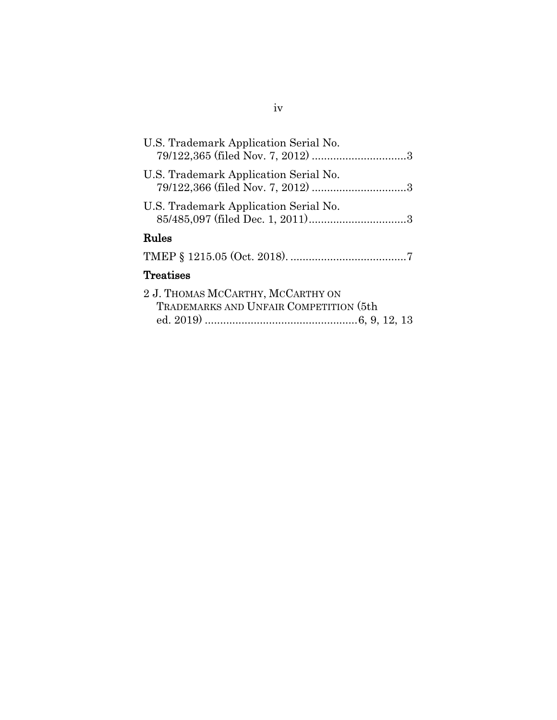| U.S. Trademark Application Serial No.                                       |
|-----------------------------------------------------------------------------|
| U.S. Trademark Application Serial No.                                       |
| U.S. Trademark Application Serial No.                                       |
| Rules                                                                       |
|                                                                             |
| Treatises                                                                   |
| 2 J. THOMAS MCCARTHY, MCCARTHY ON<br>TRADEMARKS AND UNFAIR COMPETITION (5th |
|                                                                             |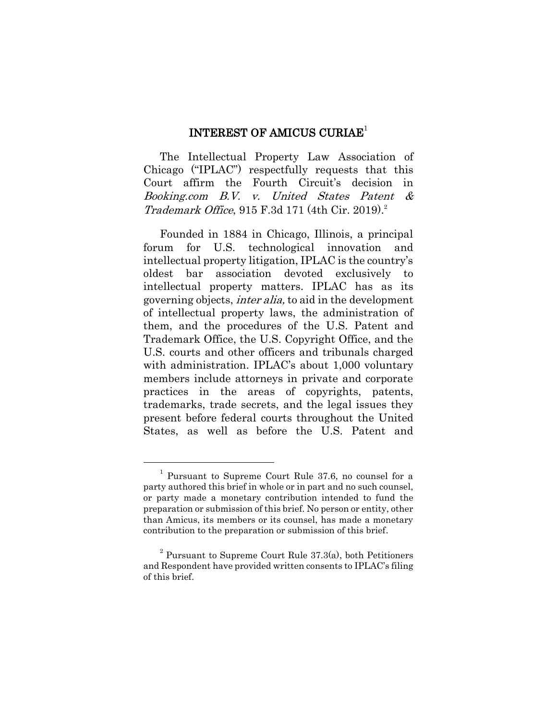### INTEREST OF AMICUS CURIAE<sup>1</sup>

The Intellectual Property Law Association of Chicago ("IPLAC") respectfully requests that this Court affirm the Fourth Circuit's decision in Booking.com B.V. v. United States Patent & Trademark Office, 915 F.3d 171 (4th Cir. 2019). 2

Founded in 1884 in Chicago, Illinois, a principal forum for U.S. technological innovation and intellectual property litigation, IPLAC is the country's oldest bar association devoted exclusively to intellectual property matters. IPLAC has as its governing objects, inter alia, to aid in the development of intellectual property laws, the administration of them, and the procedures of the U.S. Patent and Trademark Office, the U.S. Copyright Office, and the U.S. courts and other officers and tribunals charged with administration. IPLAC's about 1,000 voluntary members include attorneys in private and corporate practices in the areas of copyrights, patents, trademarks, trade secrets, and the legal issues they present before federal courts throughout the United States, as well as before the U.S. Patent and

<sup>1</sup> Pursuant to Supreme Court Rule 37.6, no counsel for a party authored this brief in whole or in part and no such counsel, or party made a monetary contribution intended to fund the preparation or submission of this brief. No person or entity, other than Amicus, its members or its counsel, has made a monetary contribution to the preparation or submission of this brief.

 $2$  Pursuant to Supreme Court Rule 37.3(a), both Petitioners and Respondent have provided written consents to IPLAC's filing of this brief.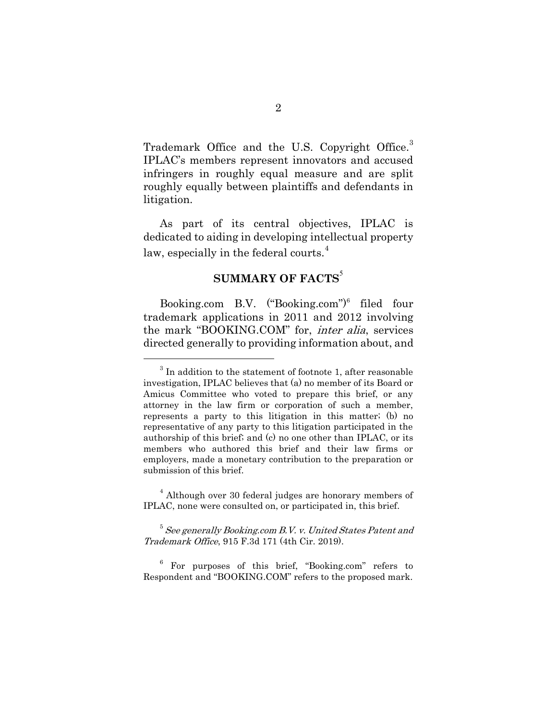Trademark Office and the U.S. Copyright Office.<sup>3</sup> IPLAC's members represent innovators and accused infringers in roughly equal measure and are split roughly equally between plaintiffs and defendants in litigation.

As part of its central objectives, IPLAC is dedicated to aiding in developing intellectual property law, especially in the federal courts. $4$ 

## **SUMMARY OF FACTS<sup>5</sup>**

Booking.com B.V.  $("Booking.com")^6$  filed four trademark applications in 2011 and 2012 involving the mark "BOOKING.COM" for, inter alia, services directed generally to providing information about, and

<sup>4</sup> Although over 30 federal judges are honorary members of IPLAC, none were consulted on, or participated in, this brief.

 $5$  See generally Booking.com B.V. v. United States Patent and Trademark Office, 915 F.3d 171 (4th Cir. 2019).

<sup>6</sup> For purposes of this brief, "Booking.com" refers to Respondent and "BOOKING.COM" refers to the proposed mark.

 $3$  In addition to the statement of footnote 1, after reasonable investigation, IPLAC believes that (a) no member of its Board or Amicus Committee who voted to prepare this brief, or any attorney in the law firm or corporation of such a member, represents a party to this litigation in this matter; (b) no representative of any party to this litigation participated in the authorship of this brief; and (c) no one other than IPLAC, or its members who authored this brief and their law firms or employers, made a monetary contribution to the preparation or submission of this brief.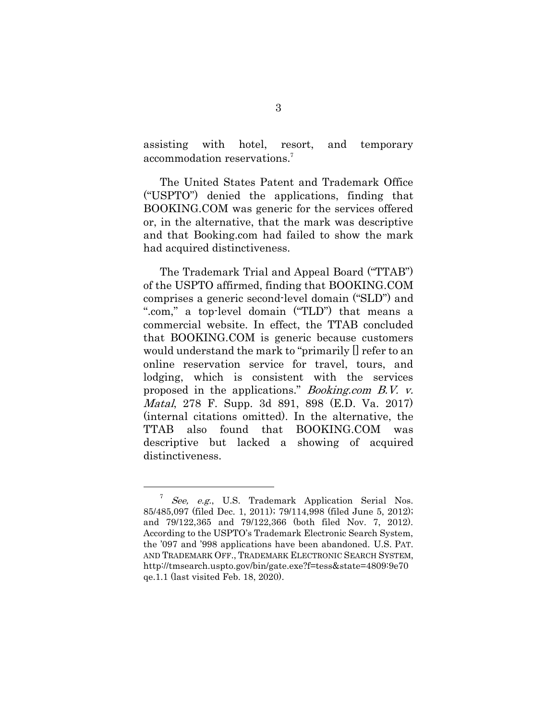assisting with hotel, resort, and temporary accommodation reservations. 7

The United States Patent and Trademark Office ("USPTO") denied the applications, finding that BOOKING.COM was generic for the services offered or, in the alternative, that the mark was descriptive and that Booking.com had failed to show the mark had acquired distinctiveness.

The Trademark Trial and Appeal Board ("TTAB") of the USPTO affirmed, finding that BOOKING.COM comprises a generic second-level domain ("SLD") and ".com," a top-level domain ("TLD") that means a commercial website. In effect, the TTAB concluded that BOOKING.COM is generic because customers would understand the mark to "primarily [] refer to an online reservation service for travel, tours, and lodging, which is consistent with the services proposed in the applications." Booking.com B.V. v. Matal, 278 F. Supp. 3d 891, 898 (E.D. Va. 2017) (internal citations omitted). In the alternative, the TTAB also found that BOOKING.COM was descriptive but lacked a showing of acquired distinctiveness.

See, e.g., U.S. Trademark Application Serial Nos. 85/485,097 (filed Dec. 1, 2011); 79/114,998 (filed June 5, 2012); and 79/122,365 and 79/122,366 (both filed Nov. 7, 2012). According to the USPTO's Trademark Electronic Search System, the  $0.097$  and  $998$  applications have been abandoned. U.S. PAT. AND TRADEMARK OFF., TRADEMARK ELECTRONIC SEARCH SYSTEM, http://tmsearch.uspto.gov/bin/gate.exe?f=tess&state=4809:9e70 qe.1.1 (last visited Feb. 18, 2020).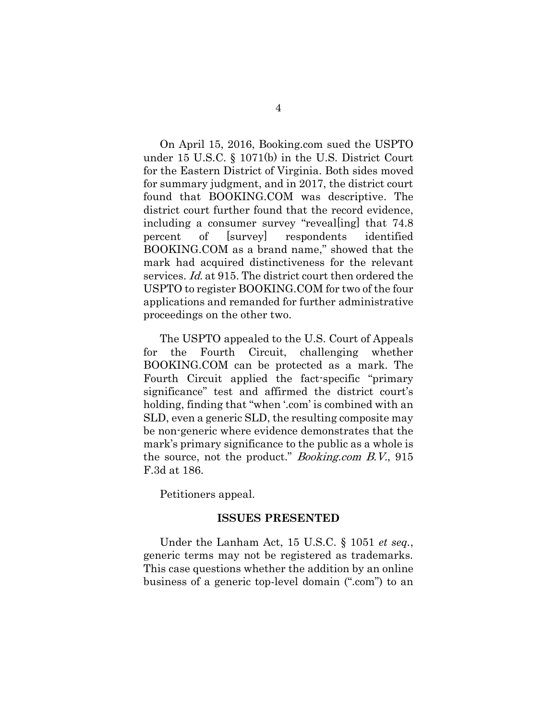On April 15, 2016, Booking.com sued the USPTO under 15 U.S.C. § 1071(b) in the U.S. District Court for the Eastern District of Virginia. Both sides moved for summary judgment, and in 2017, the district court found that BOOKING.COM was descriptive. The district court further found that the record evidence, including a consumer survey "revealling that 74.8" percent of [survey] respondents identified BOOKING.COM as a brand name," showed that the mark had acquired distinctiveness for the relevant services. Id. at 915. The district court then ordered the USPTO to register BOOKING.COM for two of the four applications and remanded for further administrative proceedings on the other two.

The USPTO appealed to the U.S. Court of Appeals for the Fourth Circuit, challenging whether BOOKING.COM can be protected as a mark. The Fourth Circuit applied the fact-specific "primary significance" test and affirmed the district court's holding, finding that "when '.com' is combined with an SLD, even a generic SLD, the resulting composite may be non-generic where evidence demonstrates that the mark's primary significance to the public as a whole is the source, not the product." Booking.com B.V., 915 F.3d at 186.

Petitioners appeal.

#### **ISSUES PRESENTED**

Under the Lanham Act, 15 U.S.C. § 1051 *et seq.*, generic terms may not be registered as trademarks. This case questions whether the addition by an online business of a generic top-level domain (".com") to an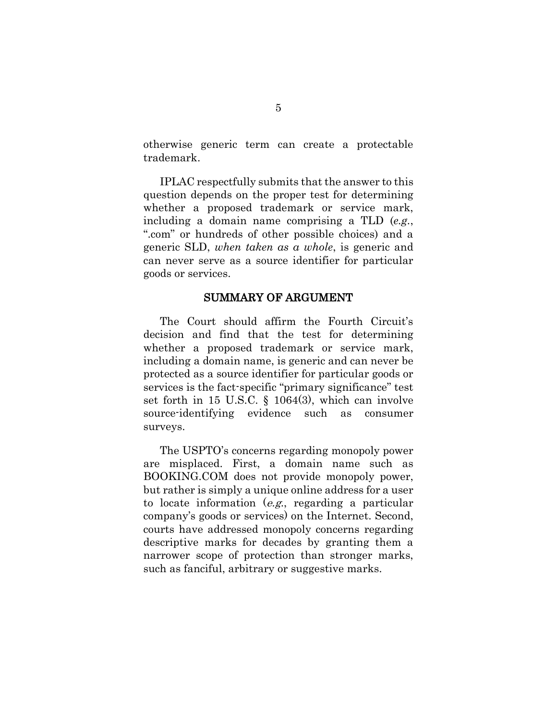otherwise generic term can create a protectable trademark.

IPLAC respectfully submits that the answer to this question depends on the proper test for determining whether a proposed trademark or service mark, including a domain name comprising a TLD (*e.g.*, ".com" or hundreds of other possible choices) and a generic SLD, *when taken as a whole*, is generic and can never serve as a source identifier for particular goods or services.

### SUMMARY OF ARGUMENT

The Court should affirm the Fourth Circuit's decision and find that the test for determining whether a proposed trademark or service mark, including a domain name, is generic and can never be protected as a source identifier for particular goods or services is the fact-specific "primary significance" test set forth in 15 U.S.C. § 1064(3), which can involve source-identifying evidence such as consumer surveys.

The USPTO's concerns regarding monopoly power are misplaced. First, a domain name such as BOOKING.COM does not provide monopoly power, but rather is simply a unique online address for a user to locate information (e.g., regarding a particular company·s goods or services) on the Internet. Second, courts have addressed monopoly concerns regarding descriptive marks for decades by granting them a narrower scope of protection than stronger marks, such as fanciful, arbitrary or suggestive marks.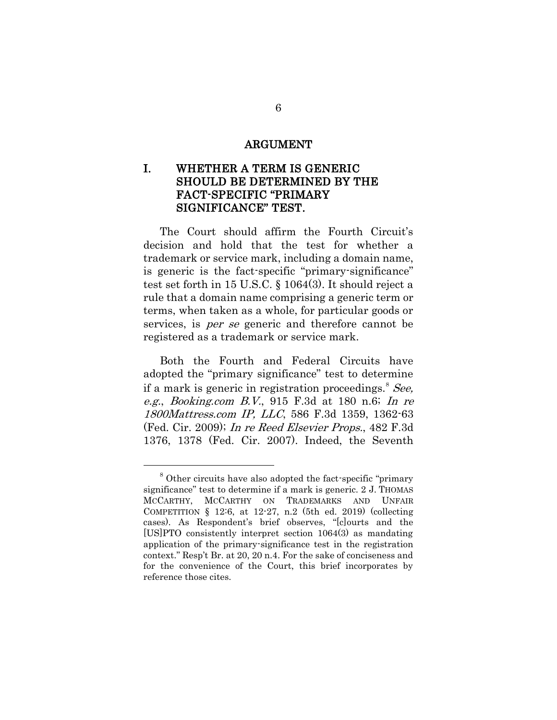#### ARGUMENT

## I. WHETHER A TERM IS GENERIC SHOULD BE DETERMINED BY THE FACT-SPECIFIC "PRIMARY SIGNIFICANCE" TEST.

The Court should affirm the Fourth Circuit's decision and hold that the test for whether a trademark or service mark, including a domain name, is generic is the fact-specific "primary-significance" test set forth in 15 U.S.C. § 1064(3). It should reject a rule that a domain name comprising a generic term or terms, when taken as a whole, for particular goods or services, is *per se* generic and therefore cannot be registered as a trademark or service mark.

Both the Fourth and Federal Circuits have adopted the "primary significance" test to determine if a mark is generic in registration proceedings.<sup>8</sup> See, e.g., Booking.com B.V., 915 F.3d at 180 n.6; In re 1800Mattress.com IP, LLC, 586 F.3d 1359, 1362-63 (Fed. Cir. 2009); In re Reed Elsevier Props., 482 F.3d 1376, 1378 (Fed. Cir. 2007). Indeed, the Seventh

<sup>&</sup>lt;sup>8</sup> Other circuits have also adopted the fact-specific "primary significance" test to determine if a mark is generic. 2 J. THOMAS MCCARTHY, MCCARTHY ON TRADEMARKS AND UNFAIR COMPETITION  $\S$  12:6, at 12-27, n.2 (5th ed. 2019) (collecting cases). As Respondent's brief observes, "[c]ourts and the [US]PTO consistently interpret section 1064(3) as mandating application of the primary-significance test in the registration context." Resp·t Br. at 20, 20 n.4. For the sake of conciseness and for the convenience of the Court, this brief incorporates by reference those cites.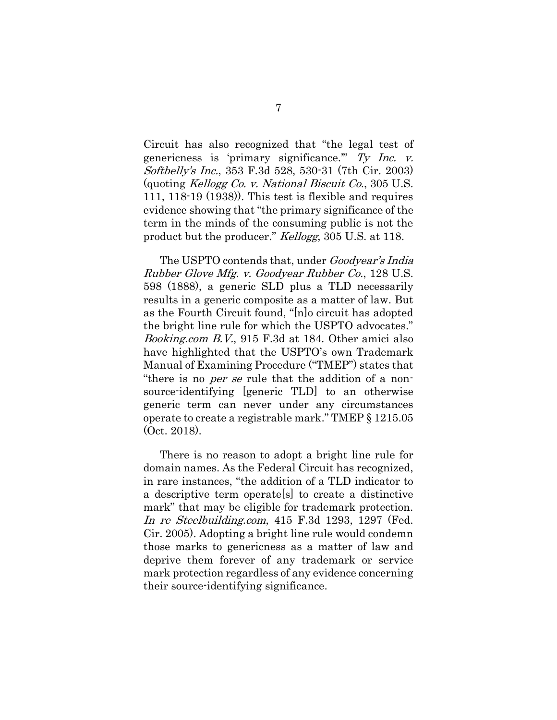Circuit has also recognized that "the legal test of genericness is 'primary significance." Ty Inc.  $v$ . Softbelly·s Inc., 353 F.3d 528, 530-31 (7th Cir. 2003) (quoting Kellogg Co. v. National Biscuit Co., 305 U.S. 111, 118-19 (1938)). This test is flexible and requires evidence showing that "the primary significance of the term in the minds of the consuming public is not the product but the producer." Kellogg, 305 U.S. at 118.

The USPTO contends that, under *Goodyear's India* Rubber Glove Mfg. v. Goodyear Rubber Co., 128 U.S. 598 (1888), a generic SLD plus a TLD necessarily results in a generic composite as a matter of law. But as the Fourth Circuit found, "[n]o circuit has adopted the bright line rule for which the USPTO advocates." Booking.com B.V., 915 F.3d at 184. Other amici also have highlighted that the USPTO's own Trademark Manual of Examining Procedure ("TMEP") states that "there is no *per se* rule that the addition of a nonsource-identifying [generic TLD] to an otherwise generic term can never under any circumstances operate to create a registrable mark." TMEP § 1215.05 (Oct. 2018).

There is no reason to adopt a bright line rule for domain names. As the Federal Circuit has recognized, in rare instances, "the addition of a TLD indicator to a descriptive term operate[s] to create a distinctive mark" that may be eligible for trademark protection. In re Steelbuilding.com, 415 F.3d 1293, 1297 (Fed. Cir. 2005). Adopting a bright line rule would condemn those marks to genericness as a matter of law and deprive them forever of any trademark or service mark protection regardless of any evidence concerning their source-identifying significance.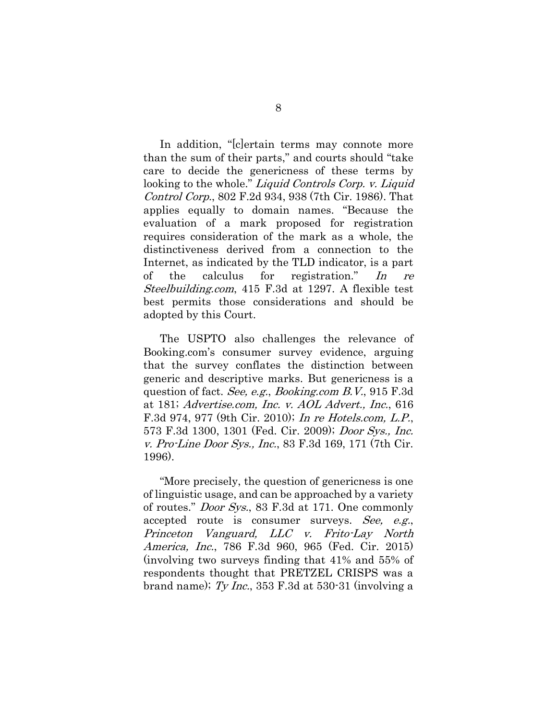In addition, "[c]ertain terms may connote more than the sum of their parts," and courts should "take care to decide the genericness of these terms by looking to the whole." Liquid Controls Corp. v. Liquid Control Corp., 802 F.2d 934, 938 (7th Cir. 1986). That applies equally to domain names. "Because the evaluation of a mark proposed for registration requires consideration of the mark as a whole, the distinctiveness derived from a connection to the Internet, as indicated by the TLD indicator, is a part of the calculus for registration." In re Steelbuilding.com, 415 F.3d at 1297. A flexible test best permits those considerations and should be adopted by this Court.

The USPTO also challenges the relevance of Booking.com's consumer survey evidence, arguing that the survey conflates the distinction between generic and descriptive marks. But genericness is a question of fact. See, e.g., Booking.com B.V., 915 F.3d at 181; Advertise.com, Inc. v. AOL Advert., Inc., 616 F.3d 974, 977 (9th Cir. 2010); In re Hotels.com, L.P., 573 F.3d 1300, 1301 (Fed. Cir. 2009); Door Sys., Inc. v. Pro-Line Door Sys., Inc., 83 F.3d 169, 171 (7th Cir. 1996).

"More precisely, the question of genericness is one of linguistic usage, and can be approached by a variety of routes." Door Sys., 83 F.3d at 171. One commonly accepted route is consumer surveys. See, e.g., Princeton Vanguard, LLC v. Frito-Lay North America, Inc., 786 F.3d 960, 965 (Fed. Cir. 2015) (involving two surveys finding that 41% and 55% of respondents thought that PRETZEL CRISPS was a brand name);  $Ty$  Inc., 353 F.3d at 530-31 (involving a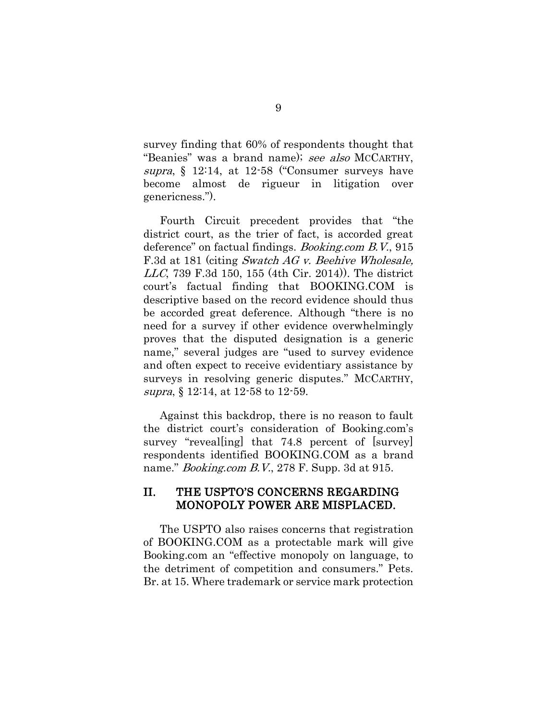survey finding that 60% of respondents thought that "Beanies" was a brand name); see also MCCARTHY, supra, § 12:14, at 12-58 ("Consumer surveys have become almost de rigueur in litigation over genericness.").

Fourth Circuit precedent provides that "the district court, as the trier of fact, is accorded great deference" on factual findings. Booking.com B.V., 915 F.3d at 181 (citing Swatch AG v. Beehive Wholesale, LLC, 739 F.3d 150, 155 (4th Cir. 2014)). The district court's factual finding that BOOKING.COM is descriptive based on the record evidence should thus be accorded great deference. Although "there is no need for a survey if other evidence overwhelmingly proves that the disputed designation is a generic name," several judges are "used to survey evidence and often expect to receive evidentiary assistance by surveys in resolving generic disputes." MCCARTHY, supra, § 12:14, at 12-58 to 12-59.

Against this backdrop, there is no reason to fault the district court's consideration of Booking.com's survey "revealling that 74.8 percent of [survey] respondents identified BOOKING.COM as a brand name." *Booking.com B.V.*, 278 F. Supp. 3d at 915.

### II. THE USPTO·S CONCERNS REGARDING MONOPOLY POWER ARE MISPLACED.

The USPTO also raises concerns that registration of BOOKING.COM as a protectable mark will give Booking.com an "effective monopoly on language, to the detriment of competition and consumers." Pets. Br. at 15. Where trademark or service mark protection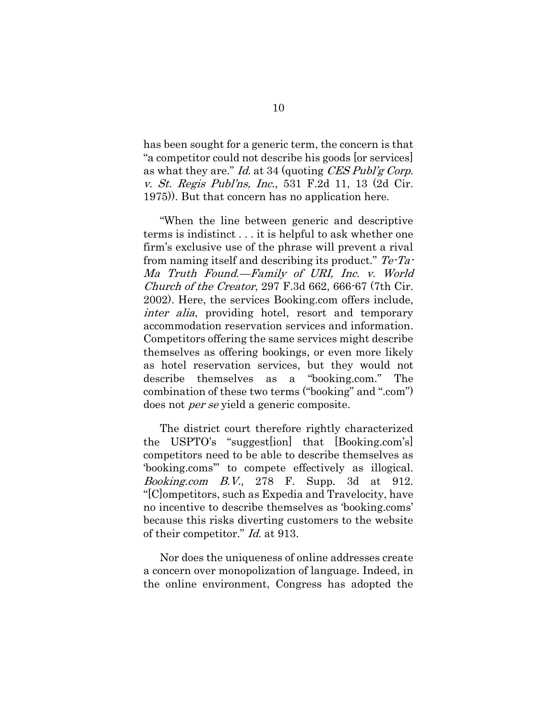has been sought for a generic term, the concern is that "a competitor could not describe his goods [or services] as what they are." Id. at 34 (quoting CES Publ'g Corp. v. *St. Regis Publ'ns, Inc.*, 531 F.2d 11, 13 (2d Cir. 1975)). But that concern has no application here.

"When the line between generic and descriptive terms is indistinct . . . it is helpful to ask whether one firm's exclusive use of the phrase will prevent a rival from naming itself and describing its product."  $Te$ -Ta-Ma Truth Found.—Family of URI, Inc. v. World Church of the Creator, 297 F.3d 662, 666-67 (7th Cir. 2002). Here, the services Booking.com offers include, inter alia, providing hotel, resort and temporary accommodation reservation services and information. Competitors offering the same services might describe themselves as offering bookings, or even more likely as hotel reservation services, but they would not describe themselves as a "booking.com." The combination of these two terms ("booking" and ".com") does not per se yield a generic composite.

The district court therefore rightly characterized the USPTO·s "suggest[ion] that [Booking.com·s] competitors need to be able to describe themselves as 'booking.coms" to compete effectively as illogical. *Booking.com B.V.*, 278 F. Supp. 3d at 912. "[C]ompetitors, such as Expedia and Travelocity, have no incentive to describe themselves as 'booking.coms' because this risks diverting customers to the website of their competitor." Id. at 913.

Nor does the uniqueness of online addresses create a concern over monopolization of language. Indeed, in the online environment, Congress has adopted the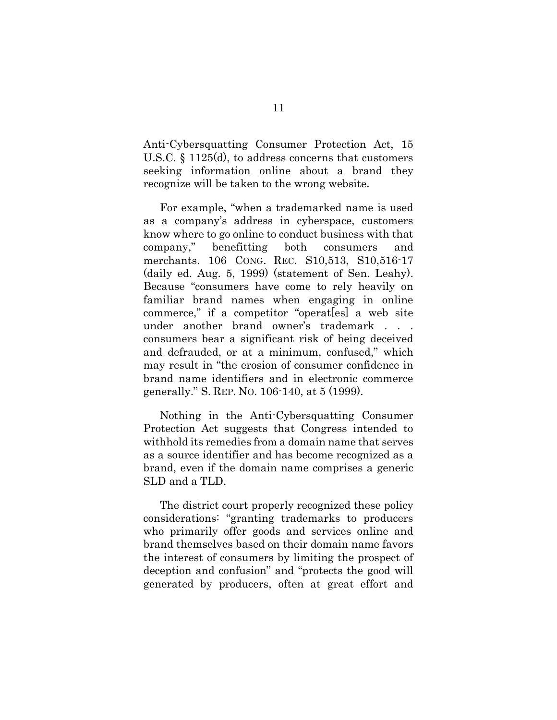Anti-Cybersquatting Consumer Protection Act, 15 U.S.C. § 1125(d), to address concerns that customers seeking information online about a brand they recognize will be taken to the wrong website.

For example, "when a trademarked name is used as a company's address in cyberspace, customers know where to go online to conduct business with that company," benefitting both consumers and merchants. 106 CONG. REC. S10,513, S10,516-17 (daily ed. Aug. 5, 1999) (statement of Sen. Leahy). Because "consumers have come to rely heavily on familiar brand names when engaging in online commerce," if a competitor "operat[es] a web site under another brand owner's trademark . . . consumers bear a significant risk of being deceived and defrauded, or at a minimum, confused," which may result in "the erosion of consumer confidence in brand name identifiers and in electronic commerce generally." S. REP. NO. 106-140, at 5 (1999).

Nothing in the Anti-Cybersquatting Consumer Protection Act suggests that Congress intended to withhold its remedies from a domain name that serves as a source identifier and has become recognized as a brand, even if the domain name comprises a generic SLD and a TLD.

The district court properly recognized these policy considerations: "granting trademarks to producers who primarily offer goods and services online and brand themselves based on their domain name favors the interest of consumers by limiting the prospect of deception and confusion" and "protects the good will generated by producers, often at great effort and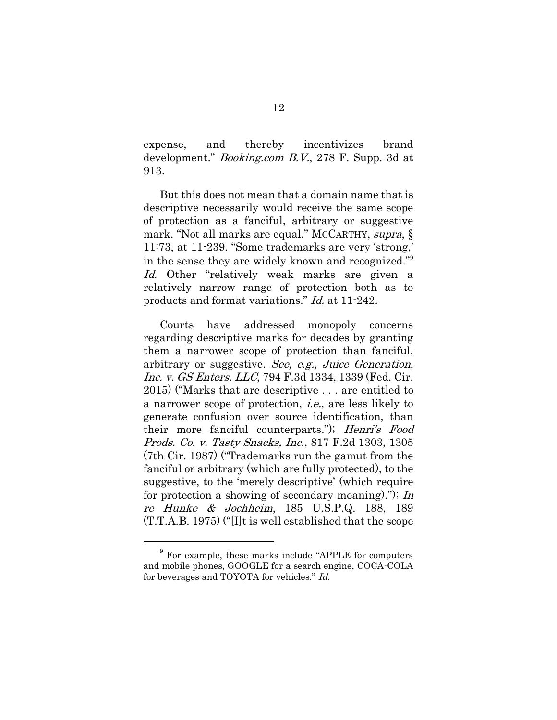expense, and thereby incentivizes brand development." Booking.com B.V., 278 F. Supp. 3d at 913.

But this does not mean that a domain name that is descriptive necessarily would receive the same scope of protection as a fanciful, arbitrary or suggestive mark. "Not all marks are equal." MCCARTHY, supra, § 11:73, at  $11-239$ . "Some trademarks are very 'strong," in the sense they are widely known and recognized."<sup>9</sup> Id. Other "relatively weak marks are given a relatively narrow range of protection both as to products and format variations." Id. at 11-242.

Courts have addressed monopoly concerns regarding descriptive marks for decades by granting them a narrower scope of protection than fanciful, arbitrary or suggestive. See, e.g., Juice Generation, Inc. v. GS Enters. LLC, 794 F.3d 1334, 1339 (Fed. Cir. 2015) ("Marks that are descriptive . . . are entitled to a narrower scope of protection, i.e., are less likely to generate confusion over source identification, than their more fanciful counterparts."); Henri's Food Prods. Co. v. Tasty Snacks, Inc., 817 F.2d 1303, 1305 (7th Cir. 1987) ("Trademarks run the gamut from the fanciful or arbitrary (which are fully protected), to the suggestive, to the 'merely descriptive' (which require for protection a showing of secondary meaning)."); In re Hunke & Jochheim, 185 U.S.P.Q. 188, 189 (T.T.A.B. 1975) ("[I]t is well established that the scope

<sup>9</sup> For example, these marks include "APPLE for computers and mobile phones, GOOGLE for a search engine, COCA-COLA for beverages and TOYOTA for vehicles." Id.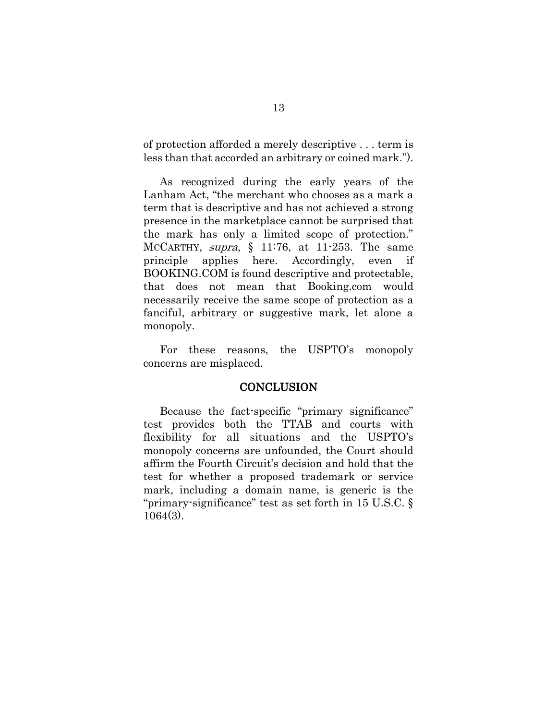of protection afforded a merely descriptive . . . term is less than that accorded an arbitrary or coined mark.").

As recognized during the early years of the Lanham Act, "the merchant who chooses as a mark a term that is descriptive and has not achieved a strong presence in the marketplace cannot be surprised that the mark has only a limited scope of protection." MCCARTHY, supra,  $\S$  11:76, at 11-253. The same principle applies here. Accordingly, even if BOOKING.COM is found descriptive and protectable, that does not mean that Booking.com would necessarily receive the same scope of protection as a fanciful, arbitrary or suggestive mark, let alone a monopoly.

For these reasons, the USPTO's monopoly concerns are misplaced.

#### **CONCLUSION**

Because the fact-specific "primary significance" test provides both the TTAB and courts with flexibility for all situations and the USPTO's monopoly concerns are unfounded, the Court should affirm the Fourth Circuit's decision and hold that the test for whether a proposed trademark or service mark, including a domain name, is generic is the "primary-significance" test as set forth in 15 U.S.C. § 1064(3).